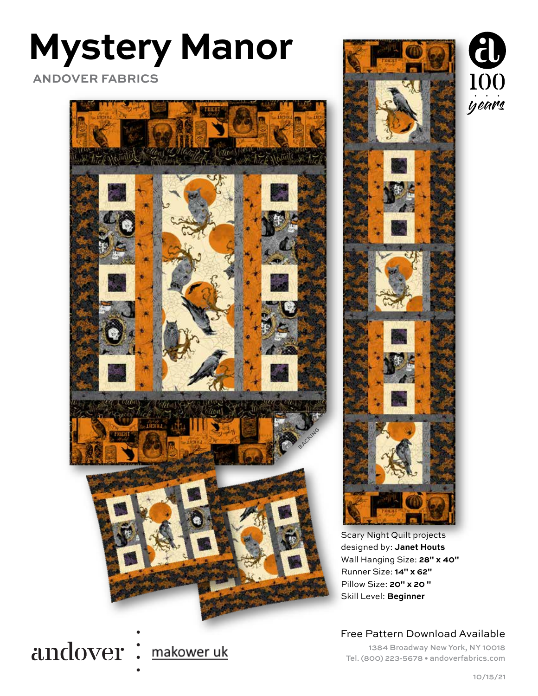# **Mystery Manor**

 **ANDOVER FABRICS**



andover: makower uk



Scary Night Quilt projects designed by: **Janet Houts** Wall Hanging Size: **28" x 40"** Runner Size: **14" x 62"** Pillow Size: **20" x 20 "** Skill Level: **Beginner**

## Free Pattern Download Available

1384 Broadway New York, NY 10018 Tel. (800) 223-5678 • andoverfabrics.com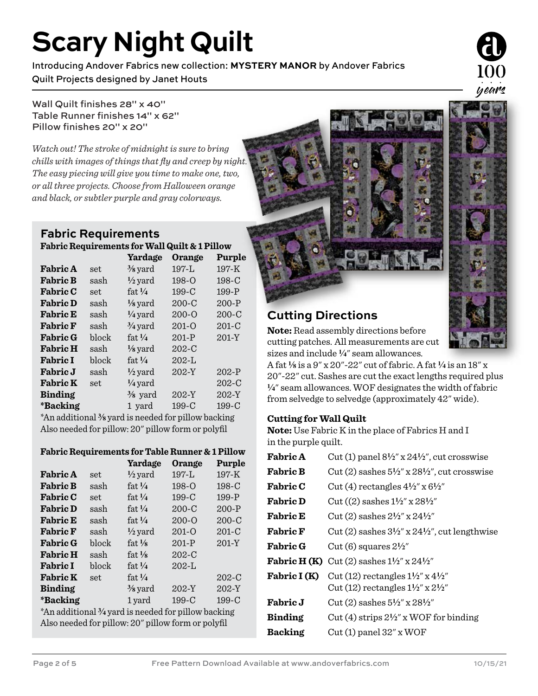## **Scary Night Quilt**

Introducing Andover Fabrics new collection: **MYSTERY MANOR** by Andover Fabrics Quilt Projects designed by Janet Houts

Wall Quilt finishes 28" x 40" Table Runner finishes 14" x 62" Pillow finishes 20" x 20"

*Watch out! The stroke of midnight is sure to bring chills with images of things that fly and creep by night. The easy piecing will give you time to make one, two, or all three projects. Choose from Halloween orange and black, or subtler purple and gray colorways.*

## **Fabric Requirements Fabric Requirements for Wall Quilt & 1 Pillow**

|                 |       | Yardage            | Orange    | Purple    |
|-----------------|-------|--------------------|-----------|-----------|
| <b>Fabric A</b> | set   | $\frac{3}{8}$ yard | $197-L$   | 197-K     |
| <b>Fabric B</b> | sash  | $\frac{1}{2}$ yard | $198 - 0$ | $198-C$   |
| <b>Fabric C</b> | set   | fat $\frac{1}{4}$  | $199-C$   | 199-P     |
| <b>Fabric D</b> | sash  | $\frac{1}{8}$ yard | $200-C$   | 200-P     |
| <b>Fabric E</b> | sash  | $\frac{1}{4}$ yard | $200 - 0$ | $200 - C$ |
| <b>Fabric F</b> | sash  | $\frac{3}{4}$ yard | $201 - 0$ | $201-C$   |
| <b>Fabric G</b> | block | fat $\frac{1}{4}$  | $201-P$   | $201-Y$   |
| <b>Fabric H</b> | sash  | $\frac{1}{8}$ yard | $202 - C$ |           |
| <b>Fabric I</b> | block | fat $\frac{1}{4}$  | $202 - L$ |           |
| <b>Fabric J</b> | sash  | $\frac{1}{2}$ yard | $202-Y$   | $202-P$   |
| <b>Fabric K</b> | set   | $\frac{1}{4}$ yard |           | $202 - C$ |
| <b>Binding</b>  |       | $\frac{3}{8}$ yard | $202-Y$   | $202-Y$   |
| *Backing        |       | 1 yard             | $199-C$   | 199-C     |
|                 | 121   |                    |           |           |

\*An additional **s** yard is needed for pillow backing Also needed for pillow: 20" pillow form or polyfil

#### **Fabric Requirements for Table Runner & 1 Pillow**

|                                                                   |       | Yardage            | Orange    | Purple    |
|-------------------------------------------------------------------|-------|--------------------|-----------|-----------|
| <b>Fabric A</b>                                                   | set   | $\frac{1}{2}$ yard | $197-L$   | $197 - K$ |
| <b>Fabric B</b>                                                   | sash  | fat $\frac{1}{4}$  | $198 - 0$ | $198-C$   |
| <b>Fabric C</b>                                                   | set   | fat $\frac{1}{4}$  | $199-C$   | $199-P$   |
| <b>Fabric D</b>                                                   | sash  | fat $\frac{1}{4}$  | $200-C$   | $200-P$   |
| <b>Fabric E</b>                                                   | sash  | fat $\frac{1}{4}$  | $200 - 0$ | $200 - C$ |
| <b>Fabric F</b>                                                   | sash  | $\frac{1}{2}$ yard | $201 - 0$ | $201-C$   |
| <b>Fabric G</b>                                                   | block | fat $\frac{1}{8}$  | $201-P$   | $201-Y$   |
| <b>Fabric H</b>                                                   | sash  | fat $\frac{1}{8}$  | $202-C$   |           |
| <b>Fabric I</b>                                                   | block | fat $\frac{1}{4}$  | $202-L$   |           |
| <b>Fabric K</b>                                                   | set.  | fat $\frac{1}{4}$  |           | $202-C$   |
| <b>Binding</b>                                                    |       | $\frac{3}{8}$ yard | $202-Y$   | 202-Y     |
| <i>*Backing</i>                                                   |       | 1 yard             | $199-C$   | $199-C$   |
| $*$ An additional $\frac{3}{4}$ yard is needed for pillow backing |       |                    |           |           |
|                                                                   |       |                    |           |           |

Also needed for pillow: 20" pillow form or polyfil



## **Cutting Directions**

**Note:** Read assembly directions before cutting patches. All measurements are cut sizes and include **4**" seam allowances.

A fat **8** is a 9" x 20"-22" cut of fabric. A fat **4** is an 18" x 20"-22" cut. Sashes are cut the exact lengths required plus **4**" seam allowances. WOF designates the width of fabric from selvedge to selvedge (approximately 42" wide).

#### **Cutting for Wall Quilt**

**Note:** Use Fabric K in the place of Fabrics H and I in the purple quilt.

| <b>Fabric A</b>     | Cut (1) panel $8\frac{1}{2}$ x $24\frac{1}{2}$ , cut crosswise                                                     |
|---------------------|--------------------------------------------------------------------------------------------------------------------|
| <b>Fabric B</b>     | Cut (2) sashes $5\frac{1}{2}$ " x $28\frac{1}{2}$ ", cut crosswise                                                 |
| <b>Fabric C</b>     | Cut (4) rectangles $4\frac{1}{2}$ " x $6\frac{1}{2}$ "                                                             |
| <b>Fabric D</b>     | Cut $((2)$ sashes $1\frac{1}{2}$ " x $28\frac{1}{2}$ "                                                             |
| <b>Fabric E</b>     | Cut (2) sashes $2\frac{1}{2}$ x $24\frac{1}{2}$                                                                    |
| <b>Fabric F</b>     | Cut (2) sashes $3\frac{1}{2}$ " x $24\frac{1}{2}$ ", cut lengthwise                                                |
| <b>Fabric G</b>     | Cut (6) squares $2\frac{1}{2}$ "                                                                                   |
| <b>Fabric H (K)</b> | Cut (2) sashes $1\frac{1}{2}$ x $24\frac{1}{2}$                                                                    |
| Fabric I (K)        | Cut (12) rectangles $1\frac{1}{2}$ " x $4\frac{1}{2}$ "<br>Cut (12) rectangles $1\frac{1}{2}$ " x $2\frac{1}{2}$ " |
| <b>Fabric J</b>     | Cut (2) sashes $5\frac{1}{2}$ x $28\frac{1}{2}$ "                                                                  |
| <b>Binding</b>      | Cut (4) strips $2\frac{1}{2}$ x WOF for binding                                                                    |
| <b>Backing</b>      | $Cut(1)$ panel $32''$ x WOF                                                                                        |

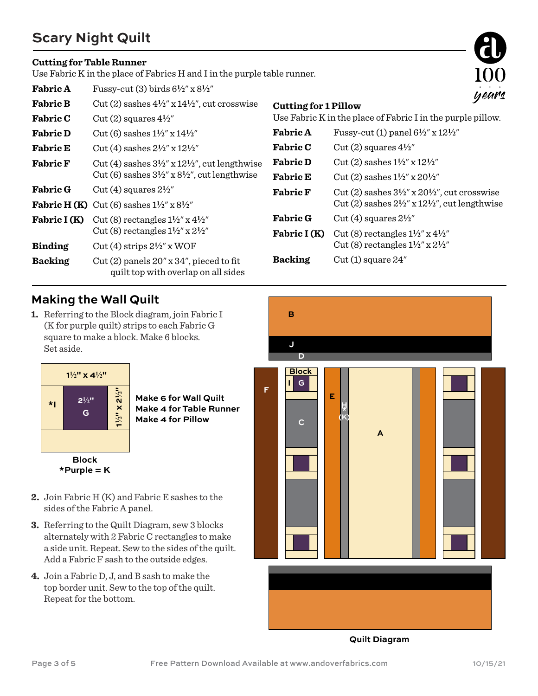## **Scary Night Quilt**

#### **Cutting for Table Runner**

Use Fabric K in the place of Fabrics H and I in the purple table runner.

| <b>Fabric A</b>     | Fussy-cut (3) birds $6\frac{1}{2}$ " x $8\frac{1}{2}$ "                                                                                   |
|---------------------|-------------------------------------------------------------------------------------------------------------------------------------------|
| <b>Fabric B</b>     | Cut (2) sashes $4\frac{1}{2}$ " x $14\frac{1}{2}$ ", cut crosswise                                                                        |
| <b>Fabric C</b>     | Cut $(2)$ squares $4\frac{1}{2}$                                                                                                          |
| <b>Fabric D</b>     | Cut (6) sashes $1\frac{1}{2}$ x $14\frac{1}{2}$                                                                                           |
| <b>Fabric E</b>     | Cut (4) sashes $2\frac{1}{2}$ x $12\frac{1}{2}$ "                                                                                         |
| <b>Fabric F</b>     | Cut (4) sashes $3\frac{1}{2}$ " x $12\frac{1}{2}$ ", cut lengthwise<br>Cut (6) sashes $3\frac{1}{2}$ " x $8\frac{1}{2}$ ", cut lengthwise |
| <b>Fabric G</b>     | Cut (4) squares $2\frac{1}{2}$                                                                                                            |
| <b>Fabric H (K)</b> | Cut (6) sashes $1\frac{1}{2}$ x $8\frac{1}{2}$ "                                                                                          |
| Fabric I (K)        | Cut (8) rectangles $1\frac{1}{2}$ " x $4\frac{1}{2}$ "<br>Cut (8) rectangles $1\frac{1}{2}$ " x $2\frac{1}{2}$ "                          |
| <b>Binding</b>      | $Cut(4)$ strips $2\frac{1}{2}$ x WOF                                                                                                      |
| <b>Backing</b>      | Cut $(2)$ panels $20''$ x 34", pieced to fit<br>quilt top with overlap on all sides                                                       |

#### **Cutting for 1 Pillow**

Use Fabric K in the place of Fabric I in the purple pillow.

| <b>Fabric A</b> | Fussy-cut (1) panel $6\frac{1}{2}$ " x $12\frac{1}{2}$ "                                                                               |  |
|-----------------|----------------------------------------------------------------------------------------------------------------------------------------|--|
| <b>Fabric C</b> | Cut $(2)$ squares $4\frac{1}{2}$                                                                                                       |  |
| <b>Fabric D</b> | Cut (2) sashes $1\frac{1}{2}$ " x $12\frac{1}{2}$ "                                                                                    |  |
| <b>Fabric E</b> | Cut (2) sashes $1\frac{1}{2}$ x $20\frac{1}{2}$                                                                                        |  |
| <b>Fabric F</b> | Cut (2) sashes $3\frac{1}{2}$ x $20\frac{1}{2}$ , cut crosswise<br>Cut (2) sashes $2\frac{1}{2}$ " x $12\frac{1}{2}$ ", cut lengthwise |  |
| <b>Fabric G</b> | Cut (4) squares $2\frac{1}{2}$ "                                                                                                       |  |
| Fabric I (K)    | Cut (8) rectangles $1\frac{1}{2}$ " x $4\frac{1}{2}$ "<br>Cut (8) rectangles $1\frac{1}{2}$ " x $2\frac{1}{2}$ "                       |  |
| Backing         | $Cut(1)$ square $24"$                                                                                                                  |  |

### **Making the Wall Quilt**

**1.** Referring to the Block diagram, join Fabric I (K for purple quilt) strips to each Fabric G square to make a block. Make 6 blocks. Set aside.



**Make 6 for Wall Quilt Make 4 for Table Runner Make 4 for Pillow**

**\*Purple = K**

- **2.** Join Fabric H (K) and Fabric E sashes to the sides of the Fabric A panel.
- **3.** Referring to the Quilt Diagram, sew 3 blocks alternately with 2 Fabric C rectangles to make a side unit. Repeat. Sew to the sides of the quilt. Add a Fabric F sash to the outside edges.
- **4.** Join a Fabric D, J, and B sash to make the top border unit. Sew to the top of the quilt. Repeat for the bottom.

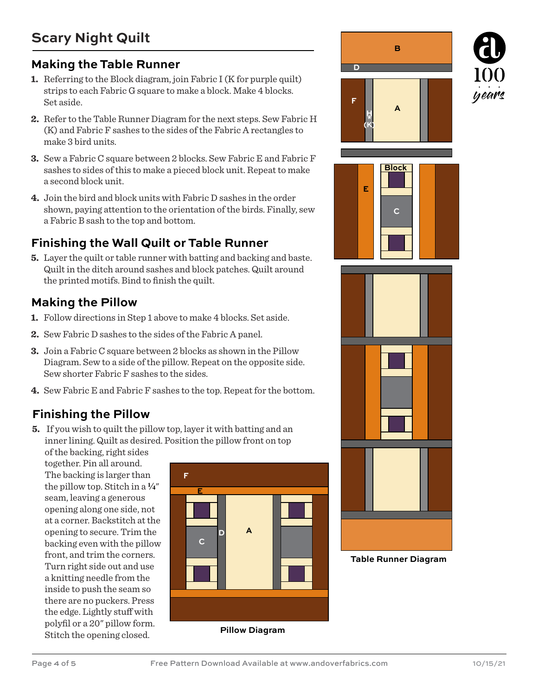## **Making the Table Runner**

- **1.** Referring to the Block diagram, join Fabric I (K for purple quilt) strips to each Fabric G square to make a block. Make 4 blocks. Set aside.
- **2.** Refer to the Table Runner Diagram for the next steps. Sew Fabric H (K) and Fabric F sashes to the sides of the Fabric A rectangles to make 3 bird units.
- **3.** Sew a Fabric C square between 2 blocks. Sew Fabric E and Fabric F sashes to sides of this to make a pieced block unit. Repeat to make a second block unit.
- **4.** Join the bird and block units with Fabric D sashes in the order shown, paying attention to the orientation of the birds. Finally, sew a Fabric B sash to the top and bottom.

## **Finishing the Wall Quilt or Table Runner**

**5.** Layer the quilt or table runner with batting and backing and baste. Quilt in the ditch around sashes and block patches. Quilt around the printed motifs. Bind to finish the quilt.

## **Making the Pillow**

- **1.** Follow directions in Step 1 above to make 4 blocks. Set aside.
- **2.** Sew Fabric D sashes to the sides of the Fabric A panel.
- **3.** Join a Fabric C square between 2 blocks as shown in the Pillow Diagram. Sew to a side of the pillow. Repeat on the opposite side. Sew shorter Fabric F sashes to the sides.
- **4.** Sew Fabric E and Fabric F sashes to the top. Repeat for the bottom.

## **Finishing the Pillow**

**5.** If you wish to quilt the pillow top, layer it with batting and an inner lining. Quilt as desired. Position the pillow front on top

of the backing, right sides together. Pin all around. The backing is larger than the pillow top. Stitch in a  $\frac{1}{4}$ " seam, leaving a generous opening along one side, not at a corner. Backstitch at the opening to secure. Trim the backing even with the pillow front, and trim the corners. Turn right side out and use a knitting needle from the inside to push the seam so there are no puckers. Press the edge. Lightly stuff with polyfil or a 20" pillow form. Stitch the opening closed.











#### **Table Runner Diagram**